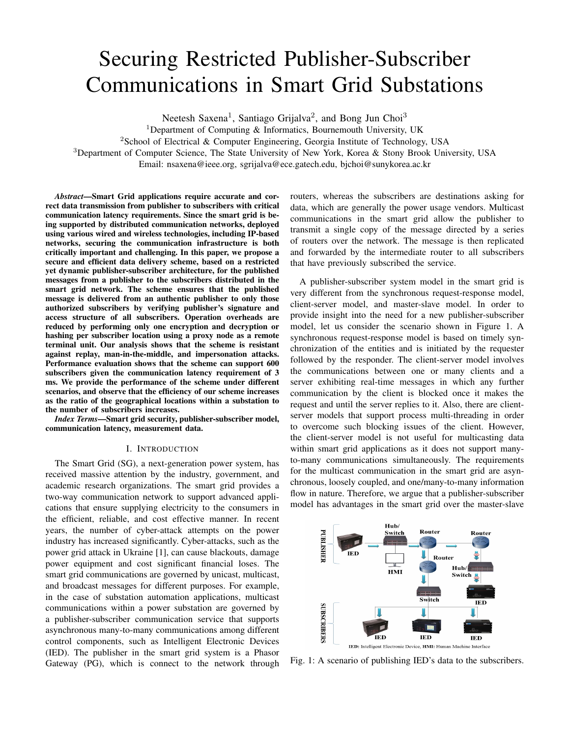# Securing Restricted Publisher-Subscriber Communications in Smart Grid Substations

Neetesh Saxena<sup>1</sup>, Santiago Grijalva<sup>2</sup>, and Bong Jun Choi<sup>3</sup>

<sup>1</sup>Department of Computing  $\&$  Informatics, Bournemouth University, UK

<sup>2</sup>School of Electrical & Computer Engineering, Georgia Institute of Technology, USA

<sup>3</sup>Department of Computer Science, The State University of New York, Korea & Stony Brook University, USA

Email: nsaxena@ieee.org, sgrijalva@ece.gatech.edu, bjchoi@sunykorea.ac.kr

*Abstract*—Smart Grid applications require accurate and correct data transmission from publisher to subscribers with critical communication latency requirements. Since the smart grid is being supported by distributed communication networks, deployed using various wired and wireless technologies, including IP-based networks, securing the communication infrastructure is both critically important and challenging. In this paper, we propose a secure and efficient data delivery scheme, based on a restricted yet dynamic publisher-subscriber architecture, for the published messages from a publisher to the subscribers distributed in the smart grid network. The scheme ensures that the published message is delivered from an authentic publisher to only those authorized subscribers by verifying publisher's signature and access structure of all subscribers. Operation overheads are reduced by performing only one encryption and decryption or hashing per subscriber location using a proxy node as a remote terminal unit. Our analysis shows that the scheme is resistant against replay, man-in-the-middle, and impersonation attacks. Performance evaluation shows that the scheme can support 600 subscribers given the communication latency requirement of 3 ms. We provide the performance of the scheme under different scenarios, and observe that the efficiency of our scheme increases as the ratio of the geographical locations within a substation to the number of subscribers increases.

*Index Terms*—Smart grid security, publisher-subscriber model, communication latency, measurement data.

#### I. INTRODUCTION

The Smart Grid (SG), a next-generation power system, has received massive attention by the industry, government, and academic research organizations. The smart grid provides a two-way communication network to support advanced applications that ensure supplying electricity to the consumers in the efficient, reliable, and cost effective manner. In recent years, the number of cyber-attack attempts on the power industry has increased significantly. Cyber-attacks, such as the power grid attack in Ukraine [1], can cause blackouts, damage power equipment and cost significant financial loses. The smart grid communications are governed by unicast, multicast, and broadcast messages for different purposes. For example, in the case of substation automation applications, multicast communications within a power substation are governed by a publisher-subscriber communication service that supports asynchronous many-to-many communications among different control components, such as Intelligent Electronic Devices (IED). The publisher in the smart grid system is a Phasor Gateway (PG), which is connect to the network through routers, whereas the subscribers are destinations asking for data, which are generally the power usage vendors. Multicast communications in the smart grid allow the publisher to transmit a single copy of the message directed by a series of routers over the network. The message is then replicated and forwarded by the intermediate router to all subscribers that have previously subscribed the service.

A publisher-subscriber system model in the smart grid is very different from the synchronous request-response model, client-server model, and master-slave model. In order to provide insight into the need for a new publisher-subscriber model, let us consider the scenario shown in Figure 1. A synchronous request-response model is based on timely synchronization of the entities and is initiated by the requester followed by the responder. The client-server model involves the communications between one or many clients and a server exhibiting real-time messages in which any further communication by the client is blocked once it makes the request and until the server replies to it. Also, there are clientserver models that support process multi-threading in order to overcome such blocking issues of the client. However, the client-server model is not useful for multicasting data within smart grid applications as it does not support manyto-many communications simultaneously. The requirements for the multicast communication in the smart grid are asynchronous, loosely coupled, and one/many-to-many information flow in nature. Therefore, we argue that a publisher-subscriber model has advantages in the smart grid over the master-slave



Fig. 1: A scenario of publishing IED's data to the subscribers.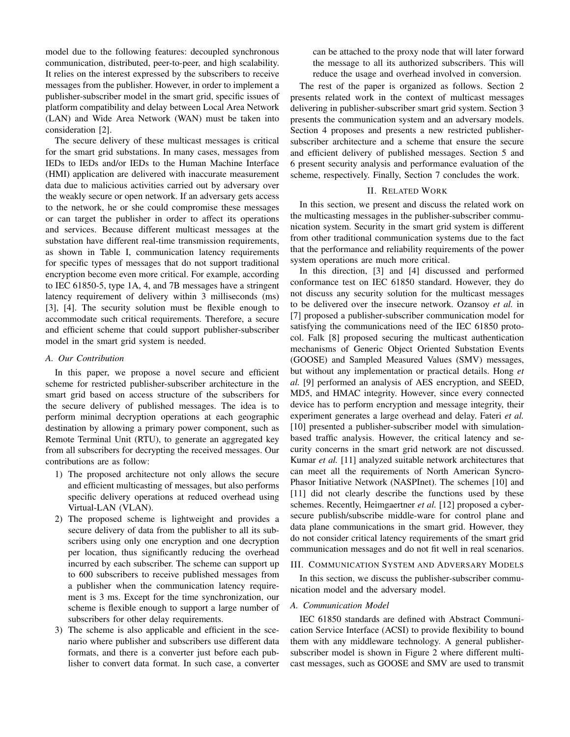model due to the following features: decoupled synchronous communication, distributed, peer-to-peer, and high scalability. It relies on the interest expressed by the subscribers to receive messages from the publisher. However, in order to implement a publisher-subscriber model in the smart grid, specific issues of platform compatibility and delay between Local Area Network (LAN) and Wide Area Network (WAN) must be taken into consideration [2].

The secure delivery of these multicast messages is critical for the smart grid substations. In many cases, messages from IEDs to IEDs and/or IEDs to the Human Machine Interface (HMI) application are delivered with inaccurate measurement data due to malicious activities carried out by adversary over the weakly secure or open network. If an adversary gets access to the network, he or she could compromise these messages or can target the publisher in order to affect its operations and services. Because different multicast messages at the substation have different real-time transmission requirements, as shown in Table I, communication latency requirements for specific types of messages that do not support traditional encryption become even more critical. For example, according to IEC 61850-5, type 1A, 4, and 7B messages have a stringent latency requirement of delivery within 3 milliseconds (ms) [3], [4]. The security solution must be flexible enough to accommodate such critical requirements. Therefore, a secure and efficient scheme that could support publisher-subscriber model in the smart grid system is needed.

### *A. Our Contribution*

In this paper, we propose a novel secure and efficient scheme for restricted publisher-subscriber architecture in the smart grid based on access structure of the subscribers for the secure delivery of published messages. The idea is to perform minimal decryption operations at each geographic destination by allowing a primary power component, such as Remote Terminal Unit (RTU), to generate an aggregated key from all subscribers for decrypting the received messages. Our contributions are as follow:

- 1) The proposed architecture not only allows the secure and efficient multicasting of messages, but also performs specific delivery operations at reduced overhead using Virtual-LAN (VLAN).
- 2) The proposed scheme is lightweight and provides a secure delivery of data from the publisher to all its subscribers using only one encryption and one decryption per location, thus significantly reducing the overhead incurred by each subscriber. The scheme can support up to 600 subscribers to receive published messages from a publisher when the communication latency requirement is 3 ms. Except for the time synchronization, our scheme is flexible enough to support a large number of subscribers for other delay requirements.
- 3) The scheme is also applicable and efficient in the scenario where publisher and subscribers use different data formats, and there is a converter just before each publisher to convert data format. In such case, a converter

can be attached to the proxy node that will later forward the message to all its authorized subscribers. This will reduce the usage and overhead involved in conversion.

The rest of the paper is organized as follows. Section 2 presents related work in the context of multicast messages delivering in publisher-subscriber smart grid system. Section 3 presents the communication system and an adversary models. Section 4 proposes and presents a new restricted publishersubscriber architecture and a scheme that ensure the secure and efficient delivery of published messages. Section 5 and 6 present security analysis and performance evaluation of the scheme, respectively. Finally, Section 7 concludes the work.

#### II. RELATED WORK

In this section, we present and discuss the related work on the multicasting messages in the publisher-subscriber communication system. Security in the smart grid system is different from other traditional communication systems due to the fact that the performance and reliability requirements of the power system operations are much more critical.

In this direction, [3] and [4] discussed and performed conformance test on IEC 61850 standard. However, they do not discuss any security solution for the multicast messages to be delivered over the insecure network. Ozansoy *et al.* in [7] proposed a publisher-subscriber communication model for satisfying the communications need of the IEC 61850 protocol. Falk [8] proposed securing the multicast authentication mechanisms of Generic Object Oriented Substation Events (GOOSE) and Sampled Measured Values (SMV) messages, but without any implementation or practical details. Hong *et al.* [9] performed an analysis of AES encryption, and SEED, MD5, and HMAC integrity. However, since every connected device has to perform encryption and message integrity, their experiment generates a large overhead and delay. Fateri *et al.* [10] presented a publisher-subscriber model with simulationbased traffic analysis. However, the critical latency and security concerns in the smart grid network are not discussed. Kumar *et al.* [11] analyzed suitable network architectures that can meet all the requirements of North American Syncro-Phasor Initiative Network (NASPInet). The schemes [10] and [11] did not clearly describe the functions used by these schemes. Recently, Heimgaertner *et al.* [12] proposed a cybersecure publish/subscribe middle-ware for control plane and data plane communications in the smart grid. However, they do not consider critical latency requirements of the smart grid communication messages and do not fit well in real scenarios.

#### III. COMMUNICATION SYSTEM AND ADVERSARY MODELS

In this section, we discuss the publisher-subscriber communication model and the adversary model.

## *A. Communication Model*

IEC 61850 standards are defined with Abstract Communication Service Interface (ACSI) to provide flexibility to bound them with any middleware technology. A general publishersubscriber model is shown in Figure 2 where different multicast messages, such as GOOSE and SMV are used to transmit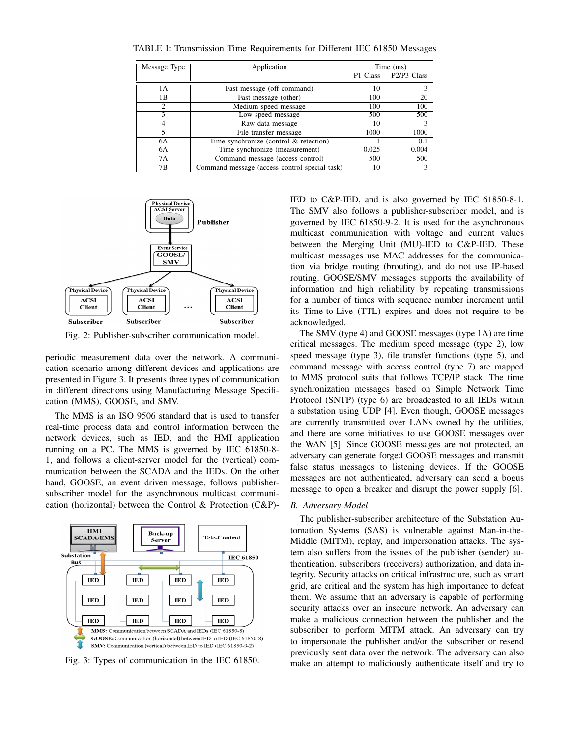| Message Type | Application                                   | Time (ms) |                        |
|--------------|-----------------------------------------------|-----------|------------------------|
|              |                                               |           | P1 Class   P2/P3 Class |
| 1 A          | Fast message (off command)                    | 10        | 3                      |
| 1 B          | Fast message (other)                          | 100       | 20                     |
| 2            | Medium speed message                          | 100       | 100                    |
| 3            | Low speed message                             | 500       | 500                    |
| 4            | Raw data message                              | 10        | 3                      |
| 5.           | File transfer message                         | 1000      | 1000                   |
| 6A           | Time synchronize (control & retection)        |           | 0.1                    |
| 6A           | Time synchronize (measurement)                | 0.025     | 0.004                  |
| 7A           | Command message (access control)              | 500       | 500                    |
| 7Β           | Command message (access control special task) | 10        | 3                      |

TABLE I: Transmission Time Requirements for Different IEC 61850 Messages



Fig. 2: Publisher-subscriber communication model.

periodic measurement data over the network. A communication scenario among different devices and applications are presented in Figure 3. It presents three types of communication in different directions using Manufacturing Message Specification (MMS), GOOSE, and SMV.

The MMS is an ISO 9506 standard that is used to transfer real-time process data and control information between the network devices, such as IED, and the HMI application running on a PC. The MMS is governed by IEC 61850-8- 1, and follows a client-server model for the (vertical) communication between the SCADA and the IEDs. On the other hand, GOOSE, an event driven message, follows publishersubscriber model for the asynchronous multicast communication (horizontal) between the Control & Protection (C&P)-



Fig. 3: Types of communication in the IEC 61850.

IED to C&P-IED, and is also governed by IEC 61850-8-1. The SMV also follows a publisher-subscriber model, and is governed by IEC 61850-9-2. It is used for the asynchronous multicast communication with voltage and current values between the Merging Unit (MU)-IED to C&P-IED. These multicast messages use MAC addresses for the communication via bridge routing (brouting), and do not use IP-based routing. GOOSE/SMV messages supports the availability of information and high reliability by repeating transmissions for a number of times with sequence number increment until its Time-to-Live (TTL) expires and does not require to be acknowledged.

The SMV (type 4) and GOOSE messages (type 1A) are time critical messages. The medium speed message (type 2), low speed message (type 3), file transfer functions (type 5), and command message with access control (type 7) are mapped to MMS protocol suits that follows TCP/IP stack. The time synchronization messages based on Simple Network Time Protocol (SNTP) (type 6) are broadcasted to all IEDs within a substation using UDP [4]. Even though, GOOSE messages are currently transmitted over LANs owned by the utilities, and there are some initiatives to use GOOSE messages over the WAN [5]. Since GOOSE messages are not protected, an adversary can generate forged GOOSE messages and transmit false status messages to listening devices. If the GOOSE messages are not authenticated, adversary can send a bogus message to open a breaker and disrupt the power supply [6].

## *B. Adversary Model*

The publisher-subscriber architecture of the Substation Automation Systems (SAS) is vulnerable against Man-in-the-Middle (MITM), replay, and impersonation attacks. The system also suffers from the issues of the publisher (sender) authentication, subscribers (receivers) authorization, and data integrity. Security attacks on critical infrastructure, such as smart grid, are critical and the system has high importance to defeat them. We assume that an adversary is capable of performing security attacks over an insecure network. An adversary can make a malicious connection between the publisher and the subscriber to perform MITM attack. An adversary can try to impersonate the publisher and/or the subscriber or resend previously sent data over the network. The adversary can also make an attempt to maliciously authenticate itself and try to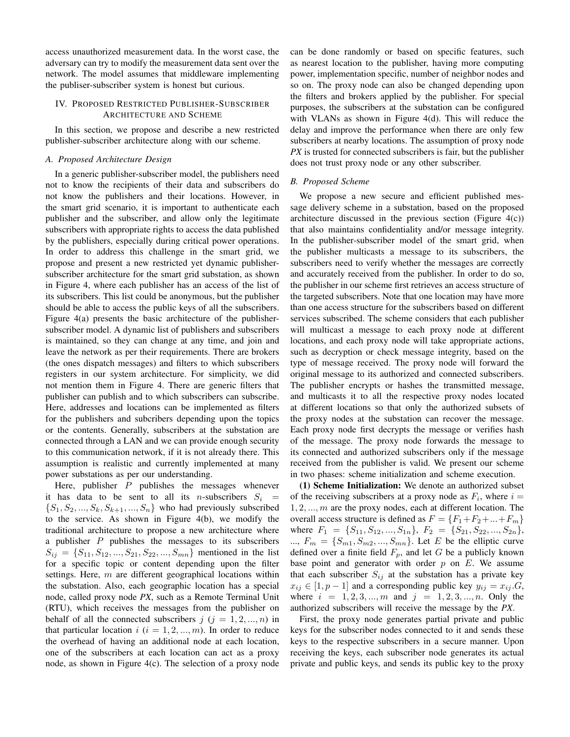access unauthorized measurement data. In the worst case, the adversary can try to modify the measurement data sent over the network. The model assumes that middleware implementing the publiser-subscriber system is honest but curious.

## IV. PROPOSED RESTRICTED PUBLISHER-SUBSCRIBER ARCHITECTURE AND SCHEME

In this section, we propose and describe a new restricted publisher-subscriber architecture along with our scheme.

## *A. Proposed Architecture Design*

In a generic publisher-subscriber model, the publishers need not to know the recipients of their data and subscribers do not know the publishers and their locations. However, in the smart grid scenario, it is important to authenticate each publisher and the subscriber, and allow only the legitimate subscribers with appropriate rights to access the data published by the publishers, especially during critical power operations. In order to address this challenge in the smart grid, we propose and present a new restricted yet dynamic publishersubscriber architecture for the smart grid substation, as shown in Figure 4, where each publisher has an access of the list of its subscribers. This list could be anonymous, but the publisher should be able to access the public keys of all the subscribers. Figure 4(a) presents the basic architecture of the publishersubscriber model. A dynamic list of publishers and subscribers is maintained, so they can change at any time, and join and leave the network as per their requirements. There are brokers (the ones dispatch messages) and filters to which subscribers registers in our system architecture. For simplicity, we did not mention them in Figure 4. There are generic filters that publisher can publish and to which subscribers can subscribe. Here, addresses and locations can be implemented as filters for the publishers and subcribers depending upon the topics or the contents. Generally, subscribers at the substation are connected through a LAN and we can provide enough security to this communication network, if it is not already there. This assumption is realistic and currently implemented at many power substations as per our understanding.

Here, publisher  $P$  publishes the messages whenever it has data to be sent to all its *n*-subscribers  $S_i$  =  $\{S_1, S_2, ..., S_k, S_{k+1}, ..., S_n\}$  who had previously subscribed to the service. As shown in Figure 4(b), we modify the traditional architecture to propose a new architecture where a publisher  $P$  publishes the messages to its subscribers  $S_{ij} = \{S_{11}, S_{12}, ..., S_{21}, S_{22}, ..., S_{mn}\}\$  mentioned in the list for a specific topic or content depending upon the filter settings. Here,  $m$  are different geographical locations within the substation. Also, each geographic location has a special node, called proxy node *PX*, such as a Remote Terminal Unit (RTU), which receives the messages from the publisher on behalf of all the connected subscribers  $j$  ( $j = 1, 2, ..., n$ ) in that particular location  $i$  ( $i = 1, 2, ..., m$ ). In order to reduce the overhead of having an additional node at each location, one of the subscribers at each location can act as a proxy node, as shown in Figure 4(c). The selection of a proxy node can be done randomly or based on specific features, such as nearest location to the publisher, having more computing power, implementation specific, number of neighbor nodes and so on. The proxy node can also be changed depending upon the filters and brokers applied by the publisher. For special purposes, the subscribers at the substation can be configured with VLANs as shown in Figure 4(d). This will reduce the delay and improve the performance when there are only few subscribers at nearby locations. The assumption of proxy node *PX* is trusted for connected subscribers is fair, but the publisher does not trust proxy node or any other subscriber.

#### *B. Proposed Scheme*

We propose a new secure and efficient published message delivery scheme in a substation, based on the proposed architecture discussed in the previous section (Figure  $4(c)$ ) that also maintains confidentiality and/or message integrity. In the publisher-subscriber model of the smart grid, when the publisher multicasts a message to its subscribers, the subscribers need to verify whether the messages are correctly and accurately received from the publisher. In order to do so, the publisher in our scheme first retrieves an access structure of the targeted subscribers. Note that one location may have more than one access structure for the subscribers based on different services subscribed. The scheme considers that each publisher will multicast a message to each proxy node at different locations, and each proxy node will take appropriate actions, such as decryption or check message integrity, based on the type of message received. The proxy node will forward the original message to its authorized and connected subscribers. The publisher encrypts or hashes the transmitted message, and multicasts it to all the respective proxy nodes located at different locations so that only the authorized subsets of the proxy nodes at the substation can recover the message. Each proxy node first decrypts the message or verifies hash of the message. The proxy node forwards the message to its connected and authorized subscribers only if the message received from the publisher is valid. We present our scheme in two phases: scheme initialization and scheme execution.

(1) Scheme Initialization: We denote an authorized subset of the receiving subscribers at a proxy node as  $F_i$ , where  $i =$  $1, 2, \ldots, m$  are the proxy nodes, each at different location. The overall access structure is defined as  $F = \{F_1 + F_2 + ... + F_m\}$ where  $F_1 = \{S_{11}, S_{12}, ..., S_{1n}\}, F_2 = \{S_{21}, S_{22}, ..., S_{2n}\},$  $..., F_m = \{S_{m1}, S_{m2}, ..., S_{mn}\}.$  Let E be the elliptic curve defined over a finite field  $F_p$ , and let G be a publicly known base point and generator with order  $p$  on  $E$ . We assume that each subscriber  $S_{ij}$  at the substation has a private key  $x_{ij} \in [1, p-1]$  and a corresponding public key  $y_{ij} = x_{ij}$ . G, where  $i = 1, 2, 3, ..., m$  and  $j = 1, 2, 3, ..., n$ . Only the authorized subscribers will receive the message by the *PX*.

First, the proxy node generates partial private and public keys for the subscriber nodes connected to it and sends these keys to the respective subscribers in a secure manner. Upon receiving the keys, each subscriber node generates its actual private and public keys, and sends its public key to the proxy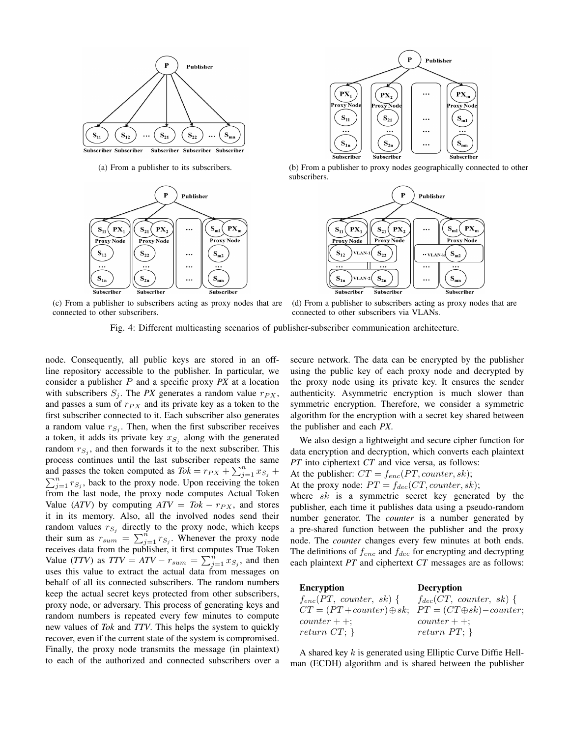



(c) From a publisher to subscribers acting as proxy nodes that are connected to other subscribers.



(a) From a publisher to its subscribers. (b) From a publisher to proxy nodes geographically connected to other subscribers.



(d) From a publisher to subscribers acting as proxy nodes that are connected to other subscribers via VLANs.

Fig. 4: Different multicasting scenarios of publisher-subscriber communication architecture.

node. Consequently, all public keys are stored in an offline repository accessible to the publisher. In particular, we consider a publisher P and a specific proxy *PX* at a location with subscribers  $S_j$ . The *PX* generates a random value  $r_{PX}$ , and passes a sum of  $r_{PX}$  and its private key as a token to the first subscriber connected to it. Each subscriber also generates a random value  $r_{S_j}$ . Then, when the first subscriber receives a token, it adds its private key  $x_{S_j}$  along with the generated random  $r_{S_j}$ , and then forwards it to the next subscriber. This process continues until the last subscriber repeats the same and passes the token computed as  $Tok = r_{PX} + \sum_{j=1}^{n} x_{S_j} +$  $\sum_{j=1}^{n} r_{S_j}$ , back to the proxy node. Upon receiving the token from the last node, the proxy node computes Actual Token Value (*ATV*) by computing  $ATV = Tok - r_{PX}$ , and stores it in its memory. Also, all the involved nodes send their random values  $r_{S_j}$  directly to the proxy node, which keeps their sum as  $r_{sum} = \sum_{j=1}^{n} r_{S_j}$ . Whenever the proxy node receives data from the publisher, it first computes True Token Value (*TTV*) as  $TTV = ATV - r_{sum} = \sum_{j=1}^{n} x_{S_j}$ , and then uses this value to extract the actual data from messages on behalf of all its connected subscribers. The random numbers keep the actual secret keys protected from other subscribers, proxy node, or adversary. This process of generating keys and random numbers is repeated every few minutes to compute new values of *Tok* and *TTV*. This helps the system to quickly recover, even if the current state of the system is compromised. Finally, the proxy node transmits the message (in plaintext) to each of the authorized and connected subscribers over a secure network. The data can be encrypted by the publisher using the public key of each proxy node and decrypted by the proxy node using its private key. It ensures the sender authenticity. Asymmetric encryption is much slower than symmetric encryption. Therefore, we consider a symmetric algorithm for the encryption with a secret key shared between the publisher and each *PX*.

We also design a lightweight and secure cipher function for data encryption and decryption, which converts each plaintext *PT* into ciphertext *CT* and vice versa, as follows:

- At the publisher:  $CT = f_{enc}(PT, counter, sk);$
- At the proxy node:  $PT = f_{dec}(CT, counter, sk);$

where  $sk$  is a symmetric secret key generated by the publisher, each time it publishes data using a pseudo-random number generator. The *counter* is a number generated by a pre-shared function between the publisher and the proxy node. The *counter* changes every few minutes at both ends. The definitions of  $f_{enc}$  and  $f_{dec}$  for encrypting and decrypting each plaintext *PT* and ciphertext *CT* messages are as follows:

| <b>Encryption</b>                                                 | Decryption            |
|-------------------------------------------------------------------|-----------------------|
| $f_{enc}(PT, counter, sk) \{ \ \   \ f_{dec}(CT, counter, sk) \}$ |                       |
| $CT = (PT + counter) \oplus sk;   PT = (CT \oplus sk) - counter;$ |                       |
| $counter++$                                                       | $\vert$ counter $++;$ |
| return $CT;$ }                                                    | return $PT$ ; }       |

A shared key k is generated using Elliptic Curve Diffie Hellman (ECDH) algorithm and is shared between the publisher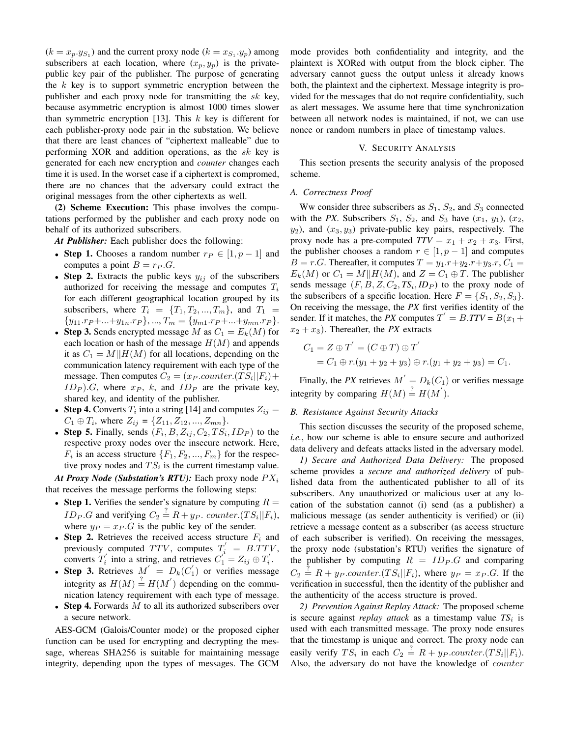$(k = x_p \cdot y_{S_1})$  and the current proxy node  $(k = x_{S_1} \cdot y_p)$  among subscribers at each location, where  $(x_p, y_p)$  is the privatepublic key pair of the publisher. The purpose of generating the  $k$  key is to support symmetric encryption between the publisher and each proxy node for transmitting the  $sk$  key, because asymmetric encryption is almost 1000 times slower than symmetric encryption [13]. This  $k$  key is different for each publisher-proxy node pair in the substation. We believe that there are least chances of "ciphertext malleable" due to performing XOR and addition operations, as the sk key is generated for each new encryption and *counter* changes each time it is used. In the worset case if a ciphertext is compromed, there are no chances that the adversary could extract the original messages from the other ciphertexts as well.

(2) Scheme Execution: This phase involves the computations performed by the publisher and each proxy node on behalf of its authorized subscribers.

*At Publisher:* Each publisher does the following:

- Step 1. Chooses a random number  $r_P \in [1, p-1]$  and computes a point  $B = r_P G$ .
- Step 2. Extracts the public keys  $y_{ij}$  of the subscribers authorized for receiving the message and computes  $T_i$ for each different geographical location grouped by its subscribers, where  $T_i = \{T_1, T_2, ..., T_m\}$ , and  $T_1$  $\{y_{11}.rp + ... + y_{1n}.rp\}, ..., T_m = \{y_{m1}.rp + ... + y_{mn}.rp\}.$
- Step 3. Sends encrypted message M as  $C_1 = E_k(M)$  for each location or hash of the message  $H(M)$  and appends it as  $C_1 = M||H(M)$  for all locations, depending on the communication latency requirement with each type of the message. Then computes  $C_2 = (x_P \textit{.counter.} (TS_i || F_i) +$  $ID_P$ ).G, where  $x_P$ , k, and  $ID_P$  are the private key, shared key, and identity of the publisher.
- Step 4. Converts  $T_i$  into a string [14] and computes  $Z_{ij} =$  $C_1 \oplus T_i$ , where  $Z_{ij} = \{Z_{11}, Z_{12}, ..., Z_{mn}\}.$
- Step 5. Finally, sends  $(F_i, B, Z_{ij}, C_2, TS_i, ID_P)$  to the respective proxy nodes over the insecure network. Here,  $F_i$  is an access structure  $\{F_1, F_2, ..., F_m\}$  for the respective proxy nodes and  $TS_i$  is the current timestamp value.

*At Proxy Node (Substation's RTU):* Each proxy node  $PX_i$ that receives the message performs the following steps:

- Step 1. Verifies the sender's signature by computing  $R =$ *ID<sub>P</sub>*.*G* and verifying  $C_2 \stackrel{?}{=} R + yp$ . *counter*.(*TS<sub>i</sub>*||*F<sub>i</sub>*), where  $y_P = x_P \cdot G$  is the public key of the sender.
- Step 2. Retrieves the received access structure  $F_i$  and previously computed  $TTV$ , computes  $T'_{i} = B.TTV$ , converts  $T'_i$  into a string, and retrieves  $C'_1 = Z_{ij} \oplus T'_i$ .
- Step 3. Retrieves  $M' = D_k(C'_1)$  or verifies message integrity as  $H(M) \stackrel{?}{=} H(M')$  depending on the communication latency requirement with each type of message.
- Step 4. Forwards  $M$  to all its authorized subscribers over a secure network.

AES-GCM (Galois/Counter mode) or the proposed cipher function can be used for encrypting and decrypting the message, whereas SHA256 is suitable for maintaining message integrity, depending upon the types of messages. The GCM mode provides both confidentiality and integrity, and the plaintext is XORed with output from the block cipher. The adversary cannot guess the output unless it already knows both, the plaintext and the ciphertext. Message integrity is provided for the messages that do not require confidentiality, such as alert messages. We assume here that time synchronization between all network nodes is maintained, if not, we can use nonce or random numbers in place of timestamp values.

## V. SECURITY ANALYSIS

This section presents the security analysis of the proposed scheme.

## *A. Correctness Proof*

Ww consider three subscribers as  $S_1$ ,  $S_2$ , and  $S_3$  connected with the *PX*. Subscribers  $S_1$ ,  $S_2$ , and  $S_3$  have  $(x_1, y_1)$ ,  $(x_2,$  $y_2$ ), and  $(x_3, y_3)$  private-public key pairs, respectively. The proxy node has a pre-computed  $TTV = x_1 + x_2 + x_3$ . First, the publisher chooses a random  $r \in [1, p - 1]$  and computes  $B = r.G$ . Thereafter, it computes  $T = y_1.r + y_2.r + y_3.r$ ,  $C_1 =$  $E_k(M)$  or  $C_1 = M||H(M)$ , and  $Z = C_1 \oplus T$ . The publisher sends message  $(F, B, Z, C_2, TS_i, ID_P)$  to the proxy node of the subscribers of a specific location. Here  $F = \{S_1, S_2, S_3\}.$ On receiving the message, the *PX* first verifies identity of the sender. If it matches, the *PX* computes  $T' = B \cdot TTV = B(x_1 +$  $x_2 + x_3$ ). Thereafter, the *PX* extracts

$$
C_1 = Z \oplus T' = (C \oplus T) \oplus T'
$$
  
= C<sub>1</sub>  $\oplus$  r.(y<sub>1</sub> + y<sub>2</sub> + y<sub>3</sub>)  $\oplus$  r.(y<sub>1</sub> + y<sub>2</sub> + y<sub>3</sub>) = C<sub>1</sub>.

Finally, the PX retrieves  $M' = D_k(C_1)$  or verifies message integrity by comparing  $H(M) \stackrel{?}{=} H(M')$ .

#### *B. Resistance Against Security Attacks*

This section discusses the security of the proposed scheme, *i.e.*, how our scheme is able to ensure secure and authorized data delivery and defeats attacks listed in the adversary model.

*1) Secure and Authorized Data Delivery:* The proposed scheme provides a *secure and authorized delivery* of published data from the authenticated publisher to all of its subscribers. Any unauthorized or malicious user at any location of the substation cannot (i) send (as a publisher) a malicious message (as sender authenticity is verified) or (ii) retrieve a message content as a subscriber (as access structure of each subscriber is verified). On receiving the messages, the proxy node (substation's RTU) verifies the signature of the publisher by computing  $R = ID_P.G$  and comparing  $C_2 \stackrel{?}{=} R + yp.counter.(TS_i||F_i)$ , where  $y_P = x_P.G$ . If the verification in successful, then the identity of the publisher and the authenticity of the access structure is proved.

*2) Prevention Against Replay Attack:* The proposed scheme is secure against *replay attack* as a timestamp value  $TS_i$  is used with each transmitted message. The proxy node ensures that the timestamp is unique and correct. The proxy node can easily verify  $TS_i$  in each  $C_2 \stackrel{?}{=} R + yp.counter.(TS_i||F_i)$ . Also, the adversary do not have the knowledge of *counter*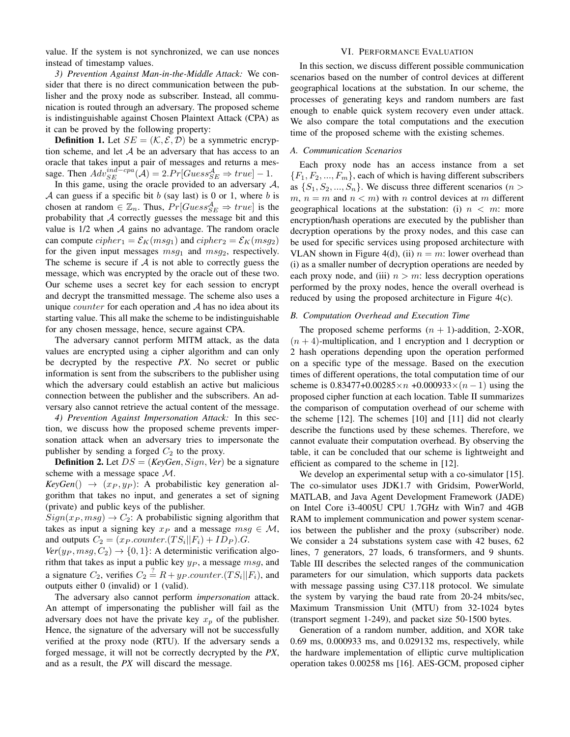value. If the system is not synchronized, we can use nonces instead of timestamp values.

*3) Prevention Against Man-in-the-Middle Attack:* We consider that there is no direct communication between the publisher and the proxy node as subscriber. Instead, all communication is routed through an adversary. The proposed scheme is indistinguishable against Chosen Plaintext Attack (CPA) as it can be proved by the following property:

**Definition 1.** Let  $SE = (K, \mathcal{E}, \mathcal{D})$  be a symmetric encryption scheme, and let  $A$  be an adversary that has access to an oracle that takes input a pair of messages and returns a message. Then  $Adv_{SE}^{ind-cpa}(\mathcal{A}) = 2.Pr[Gues_{SE}^{\mathcal{A}} \Rightarrow true] - 1.$ 

In this game, using the oracle provided to an adversary  $A$ , A can guess if a specific bit b (say last) is 0 or 1, where b is chosen at random  $\in \mathbb{Z}_n$ . Thus,  $Pr[Guess_{SE}^{\mathcal{A}} \Rightarrow true]$  is the probability that  $A$  correctly guesses the message bit and this value is  $1/2$  when  $A$  gains no advantage. The random oracle can compute  $cipher_1 = \mathcal{E}_K(msg_1)$  and  $cipher_2 = \mathcal{E}_K(msg_2)$ for the given input messages  $msg_1$  and  $msg_2$ , respectively. The scheme is secure if  $A$  is not able to correctly guess the message, which was encrypted by the oracle out of these two. Our scheme uses a secret key for each session to encrypt and decrypt the transmitted message. The scheme also uses a unique *counter* for each operation and  $A$  has no idea about its starting value. This all make the scheme to be indistinguishable for any chosen message, hence, secure against CPA.

The adversary cannot perform MITM attack, as the data values are encrypted using a cipher algorithm and can only be decrypted by the respective *PX*. No secret or public information is sent from the subscribers to the publisher using which the adversary could establish an active but malicious connection between the publisher and the subscribers. An adversary also cannot retrieve the actual content of the message.

*4) Prevention Against Impersonation Attack:* In this section, we discuss how the proposed scheme prevents impersonation attack when an adversary tries to impersonate the publisher by sending a forged  $C_2$  to the proxy.

**Definition 2.** Let  $DS = (KeyGen, Sign, Ver)$  be a signature scheme with a message space M.

 $KeyGen() \rightarrow (x_P, y_P)$ : A probabilistic key generation algorithm that takes no input, and generates a set of signing (private) and public keys of the publisher.

 $Sign(x_P, msg) \rightarrow C_2$ : A probabilistic signing algorithm that takes as input a signing key  $x_P$  and a message  $msg \in M$ , and outputs  $C_2 = (x_P \text{.counter.} (TS_i || F_i) + ID_P).G$ .

 $Ver(y_P, msg, C_2) \rightarrow \{0, 1\}$ : A deterministic verification algorithm that takes as input a public key  $y_P$ , a message  $msg$ , and a signature  $C_2$ , verifies  $C_2 \stackrel{?}{=} R + y_P \textit{counter}.(TS_i||F_i)$ , and outputs either 0 (invalid) or 1 (valid).

The adversary also cannot perform *impersonation* attack. An attempt of impersonating the publisher will fail as the adversary does not have the private key  $x_p$  of the publisher. Hence, the signature of the adversary will not be successfully verified at the proxy node (RTU). If the adversary sends a forged message, it will not be correctly decrypted by the *PX*, and as a result, the *PX* will discard the message.

## VI. PERFORMANCE EVALUATION

In this section, we discuss different possible communication scenarios based on the number of control devices at different geographical locations at the substation. In our scheme, the processes of generating keys and random numbers are fast enough to enable quick system recovery even under attack. We also compare the total computations and the execution time of the proposed scheme with the existing schemes.

#### *A. Communication Scenarios*

Each proxy node has an access instance from a set  ${F_1, F_2, ..., F_m}$ , each of which is having different subscribers as  $\{S_1, S_2, ..., S_n\}$ . We discuss three different scenarios (*n* >  $m, n = m$  and  $n < m$ ) with n control devices at m different geographical locations at the substation: (i)  $n < m$ : more encryption/hash operations are executed by the publisher than decryption operations by the proxy nodes, and this case can be used for specific services using proposed architecture with VLAN shown in Figure 4(d), (ii)  $n = m$ : lower overhead than (i) as a smaller number of decryption operations are needed by each proxy node, and (iii)  $n > m$ : less decryption operations performed by the proxy nodes, hence the overall overhead is reduced by using the proposed architecture in Figure 4(c).

#### *B. Computation Overhead and Execution Time*

The proposed scheme performs  $(n + 1)$ -addition, 2-XOR,  $(n + 4)$ -multiplication, and 1 encryption and 1 decryption or 2 hash operations depending upon the operation performed on a specific type of the message. Based on the execution times of different operations, the total computation time of our scheme is  $0.83477+0.00285\times n +0.000933\times (n-1)$  using the proposed cipher function at each location. Table II summarizes the comparison of computation overhead of our scheme with the scheme [12]. The schemes [10] and [11] did not clearly describe the functions used by these schemes. Therefore, we cannot evaluate their computation overhead. By observing the table, it can be concluded that our scheme is lightweight and efficient as compared to the scheme in [12].

We develop an experimental setup with a co-simulator [15]. The co-simulator uses JDK1.7 with Gridsim, PowerWorld, MATLAB, and Java Agent Development Framework (JADE) on Intel Core i3-4005U CPU 1.7GHz with Win7 and 4GB RAM to implement communication and power system scenarios between the publisher and the proxy (subscriber) node. We consider a 24 substations system case with 42 buses, 62 lines, 7 generators, 27 loads, 6 transformers, and 9 shunts. Table III describes the selected ranges of the communication parameters for our simulation, which supports data packets with message passing using C37.118 protocol. We simulate the system by varying the baud rate from 20-24 mbits/sec, Maximum Transmission Unit (MTU) from 32-1024 bytes (transport segment 1-249), and packet size 50-1500 bytes.

Generation of a random number, addition, and XOR take 0.69 ms, 0.000933 ms, and 0.029132 ms, respectively, while the hardware implementation of elliptic curve multiplication operation takes 0.00258 ms [16]. AES-GCM, proposed cipher